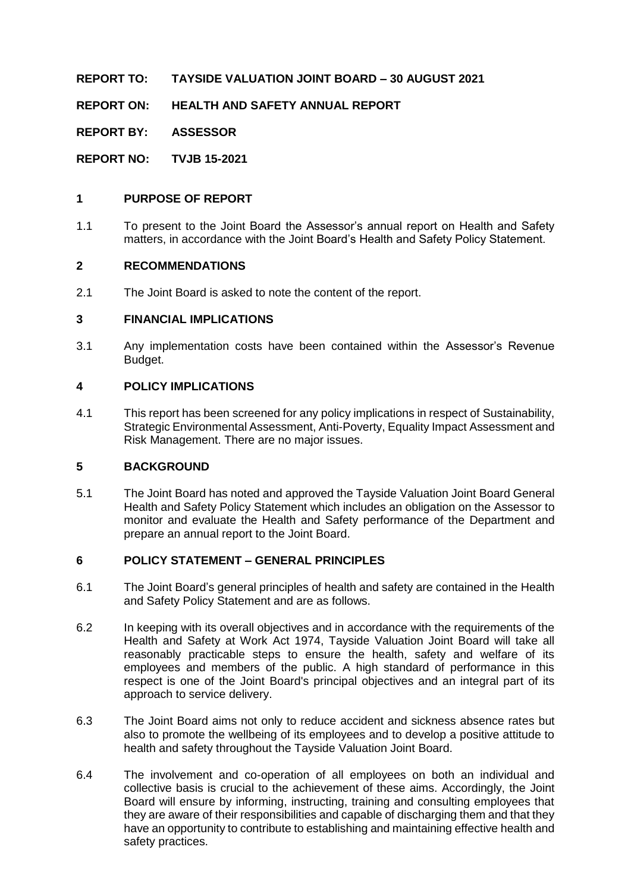**REPORT TO: TAYSIDE VALUATION JOINT BOARD – 30 AUGUST 2021**

**REPORT ON: HEALTH AND SAFETY ANNUAL REPORT**

**REPORT BY: ASSESSOR**

**REPORT NO: TVJB 15-2021**

#### **1 PURPOSE OF REPORT**

1.1 To present to the Joint Board the Assessor's annual report on Health and Safety matters, in accordance with the Joint Board's Health and Safety Policy Statement.

#### **2 RECOMMENDATIONS**

2.1 The Joint Board is asked to note the content of the report.

#### **3 FINANCIAL IMPLICATIONS**

3.1 Any implementation costs have been contained within the Assessor's Revenue Budget.

#### **4 POLICY IMPLICATIONS**

4.1 This report has been screened for any policy implications in respect of Sustainability, Strategic Environmental Assessment, Anti-Poverty, Equality Impact Assessment and Risk Management. There are no major issues.

#### **5 BACKGROUND**

5.1 The Joint Board has noted and approved the Tayside Valuation Joint Board General Health and Safety Policy Statement which includes an obligation on the Assessor to monitor and evaluate the Health and Safety performance of the Department and prepare an annual report to the Joint Board.

#### **6 POLICY STATEMENT – GENERAL PRINCIPLES**

- 6.1 The Joint Board's general principles of health and safety are contained in the Health and Safety Policy Statement and are as follows.
- 6.2 In keeping with its overall objectives and in accordance with the requirements of the Health and Safety at Work Act 1974, Tayside Valuation Joint Board will take all reasonably practicable steps to ensure the health, safety and welfare of its employees and members of the public. A high standard of performance in this respect is one of the Joint Board's principal objectives and an integral part of its approach to service delivery.
- 6.3 The Joint Board aims not only to reduce accident and sickness absence rates but also to promote the wellbeing of its employees and to develop a positive attitude to health and safety throughout the Tayside Valuation Joint Board.
- 6.4 The involvement and co-operation of all employees on both an individual and collective basis is crucial to the achievement of these aims. Accordingly, the Joint Board will ensure by informing, instructing, training and consulting employees that they are aware of their responsibilities and capable of discharging them and that they have an opportunity to contribute to establishing and maintaining effective health and safety practices.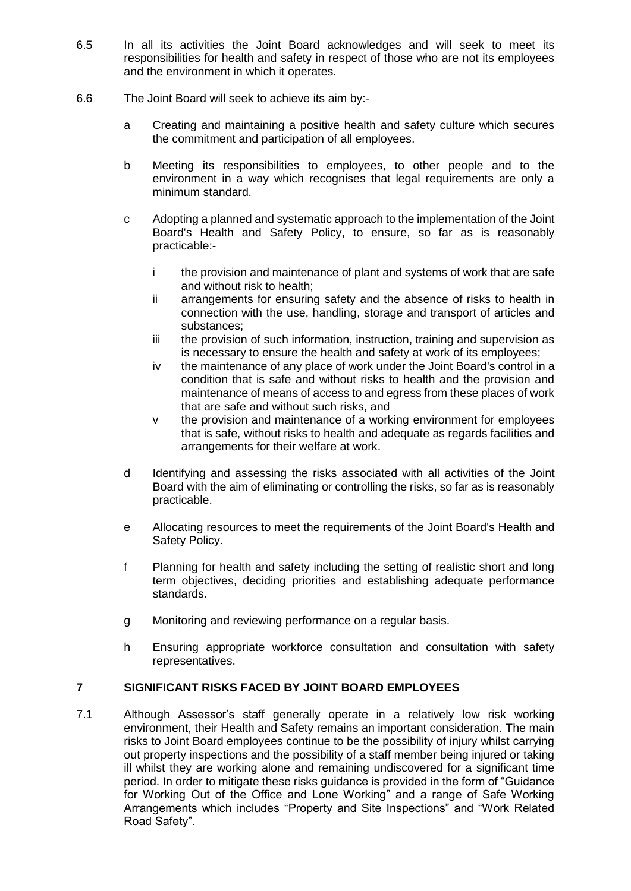- 6.5 In all its activities the Joint Board acknowledges and will seek to meet its responsibilities for health and safety in respect of those who are not its employees and the environment in which it operates.
- 6.6 The Joint Board will seek to achieve its aim by:
	- a Creating and maintaining a positive health and safety culture which secures the commitment and participation of all employees.
	- b Meeting its responsibilities to employees, to other people and to the environment in a way which recognises that legal requirements are only a minimum standard.
	- c Adopting a planned and systematic approach to the implementation of the Joint Board's Health and Safety Policy, to ensure, so far as is reasonably practicable:
		- i the provision and maintenance of plant and systems of work that are safe and without risk to health;
		- ii arrangements for ensuring safety and the absence of risks to health in connection with the use, handling, storage and transport of articles and substances;
		- iii the provision of such information, instruction, training and supervision as is necessary to ensure the health and safety at work of its employees;
		- iv the maintenance of any place of work under the Joint Board's control in a condition that is safe and without risks to health and the provision and maintenance of means of access to and egress from these places of work that are safe and without such risks, and
		- v the provision and maintenance of a working environment for employees that is safe, without risks to health and adequate as regards facilities and arrangements for their welfare at work.
	- d Identifying and assessing the risks associated with all activities of the Joint Board with the aim of eliminating or controlling the risks, so far as is reasonably practicable.
	- e Allocating resources to meet the requirements of the Joint Board's Health and Safety Policy.
	- f Planning for health and safety including the setting of realistic short and long term objectives, deciding priorities and establishing adequate performance standards.
	- g Monitoring and reviewing performance on a regular basis.
	- h Ensuring appropriate workforce consultation and consultation with safety representatives.

#### **7 SIGNIFICANT RISKS FACED BY JOINT BOARD EMPLOYEES**

7.1 Although Assessor's staff generally operate in a relatively low risk working environment, their Health and Safety remains an important consideration. The main risks to Joint Board employees continue to be the possibility of injury whilst carrying out property inspections and the possibility of a staff member being injured or taking ill whilst they are working alone and remaining undiscovered for a significant time period. In order to mitigate these risks guidance is provided in the form of "Guidance for Working Out of the Office and Lone Working" and a range of Safe Working Arrangements which includes "Property and Site Inspections" and "Work Related Road Safety".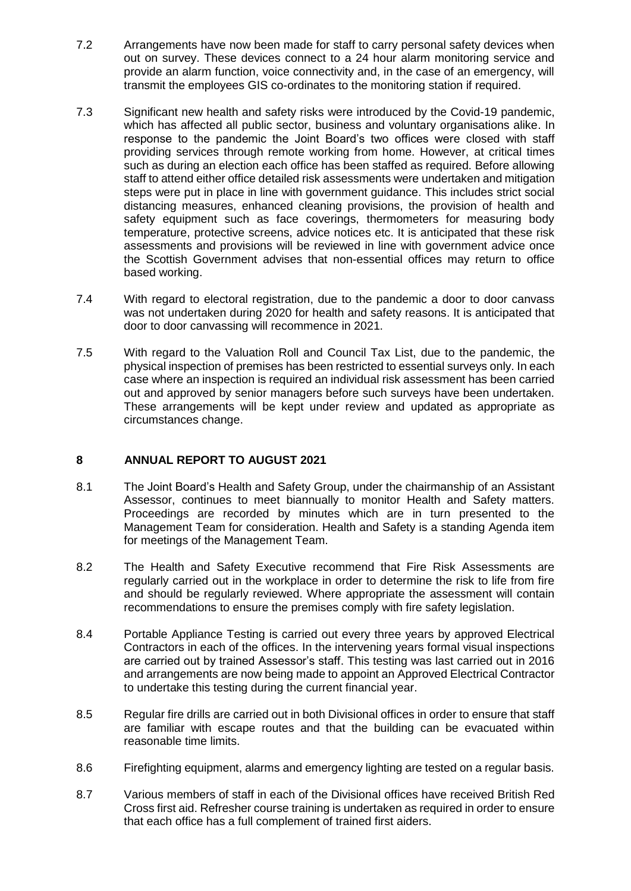- 7.2 Arrangements have now been made for staff to carry personal safety devices when out on survey. These devices connect to a 24 hour alarm monitoring service and provide an alarm function, voice connectivity and, in the case of an emergency, will transmit the employees GIS co-ordinates to the monitoring station if required.
- 7.3 Significant new health and safety risks were introduced by the Covid-19 pandemic, which has affected all public sector, business and voluntary organisations alike. In response to the pandemic the Joint Board's two offices were closed with staff providing services through remote working from home. However, at critical times such as during an election each office has been staffed as required. Before allowing staff to attend either office detailed risk assessments were undertaken and mitigation steps were put in place in line with government guidance. This includes strict social distancing measures, enhanced cleaning provisions, the provision of health and safety equipment such as face coverings, thermometers for measuring body temperature, protective screens, advice notices etc. It is anticipated that these risk assessments and provisions will be reviewed in line with government advice once the Scottish Government advises that non-essential offices may return to office based working.
- 7.4 With regard to electoral registration, due to the pandemic a door to door canvass was not undertaken during 2020 for health and safety reasons. It is anticipated that door to door canvassing will recommence in 2021.
- 7.5 With regard to the Valuation Roll and Council Tax List, due to the pandemic, the physical inspection of premises has been restricted to essential surveys only. In each case where an inspection is required an individual risk assessment has been carried out and approved by senior managers before such surveys have been undertaken. These arrangements will be kept under review and updated as appropriate as circumstances change.

#### **8 ANNUAL REPORT TO AUGUST 2021**

- 8.1 The Joint Board's Health and Safety Group, under the chairmanship of an Assistant Assessor, continues to meet biannually to monitor Health and Safety matters. Proceedings are recorded by minutes which are in turn presented to the Management Team for consideration. Health and Safety is a standing Agenda item for meetings of the Management Team.
- 8.2 The Health and Safety Executive recommend that Fire Risk Assessments are regularly carried out in the workplace in order to determine the risk to life from fire and should be regularly reviewed. Where appropriate the assessment will contain recommendations to ensure the premises comply with fire safety legislation.
- 8.4 Portable Appliance Testing is carried out every three years by approved Electrical Contractors in each of the offices. In the intervening years formal visual inspections are carried out by trained Assessor's staff. This testing was last carried out in 2016 and arrangements are now being made to appoint an Approved Electrical Contractor to undertake this testing during the current financial year.
- 8.5 Regular fire drills are carried out in both Divisional offices in order to ensure that staff are familiar with escape routes and that the building can be evacuated within reasonable time limits.
- 8.6 Firefighting equipment, alarms and emergency lighting are tested on a regular basis.
- 8.7 Various members of staff in each of the Divisional offices have received British Red Cross first aid. Refresher course training is undertaken as required in order to ensure that each office has a full complement of trained first aiders.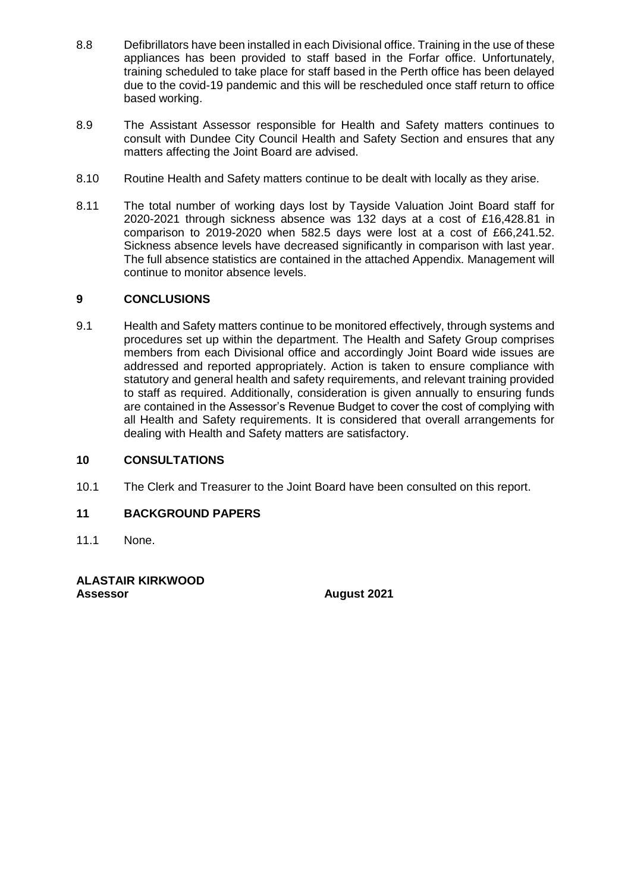- 8.8 Defibrillators have been installed in each Divisional office. Training in the use of these appliances has been provided to staff based in the Forfar office. Unfortunately, training scheduled to take place for staff based in the Perth office has been delayed due to the covid-19 pandemic and this will be rescheduled once staff return to office based working.
- 8.9 The Assistant Assessor responsible for Health and Safety matters continues to consult with Dundee City Council Health and Safety Section and ensures that any matters affecting the Joint Board are advised.
- 8.10 Routine Health and Safety matters continue to be dealt with locally as they arise.
- 8.11 The total number of working days lost by Tayside Valuation Joint Board staff for 2020-2021 through sickness absence was 132 days at a cost of £16,428.81 in comparison to 2019-2020 when 582.5 days were lost at a cost of £66,241.52. Sickness absence levels have decreased significantly in comparison with last year. The full absence statistics are contained in the attached Appendix. Management will continue to monitor absence levels.

#### **9 CONCLUSIONS**

9.1 Health and Safety matters continue to be monitored effectively, through systems and procedures set up within the department. The Health and Safety Group comprises members from each Divisional office and accordingly Joint Board wide issues are addressed and reported appropriately. Action is taken to ensure compliance with statutory and general health and safety requirements, and relevant training provided to staff as required. Additionally, consideration is given annually to ensuring funds are contained in the Assessor's Revenue Budget to cover the cost of complying with all Health and Safety requirements. It is considered that overall arrangements for dealing with Health and Safety matters are satisfactory.

#### **10 CONSULTATIONS**

10.1 The Clerk and Treasurer to the Joint Board have been consulted on this report.

#### **11 BACKGROUND PAPERS**

11.1 None.

**ALASTAIR KIRKWOOD Assessor August 2021**